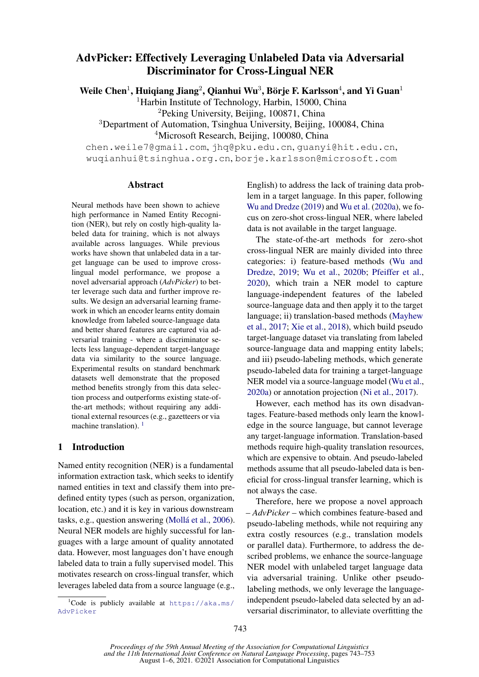# AdvPicker: Effectively Leveraging Unlabeled Data via Adversarial Discriminator for Cross-Lingual NER

Weile Chen<sup>1</sup>, Huiqiang Jiang<sup>2</sup>, Qianhui Wu<sup>3</sup>, Börje F. Karlsson<sup>4</sup>, and Yi Guan<sup>1</sup>

<sup>1</sup>Harbin Institute of Technology, Harbin, 15000, China

<sup>2</sup>Peking University, Beijing, 100871, China

<sup>3</sup>Department of Automation, Tsinghua University, Beijing, 100084, China <sup>4</sup>Microsoft Research, Beijing, 100080, China

chen.weile7@gmail.com, jhq@pku.edu.cn, guanyi@hit.edu.cn, wuqianhui@tsinghua.org.cn, borje.karlsson@microsoft.com

#### Abstract

Neural methods have been shown to achieve high performance in Named Entity Recognition (NER), but rely on costly high-quality labeled data for training, which is not always available across languages. While previous works have shown that unlabeled data in a target language can be used to improve crosslingual model performance, we propose a novel adversarial approach (*AdvPicker*) to better leverage such data and further improve results. We design an adversarial learning framework in which an encoder learns entity domain knowledge from labeled source-language data and better shared features are captured via adversarial training - where a discriminator selects less language-dependent target-language data via similarity to the source language. Experimental results on standard benchmark datasets well demonstrate that the proposed method benefits strongly from this data selection process and outperforms existing state-ofthe-art methods; without requiring any additional external resources (e.g., gazetteers or via machine translation).<sup>[1](#page-0-0)</sup>

# 1 Introduction

Named entity recognition (NER) is a fundamental information extraction task, which seeks to identify named entities in text and classify them into predefined entity types (such as person, organization, location, etc.) and it is key in various downstream tasks, e.g., question answering (Mollá et al., [2006\)](#page-9-0). Neural NER models are highly successful for languages with a large amount of quality annotated data. However, most languages don't have enough labeled data to train a fully supervised model. This motivates research on cross-lingual transfer, which leverages labeled data from a source language (e.g.,

English) to address the lack of training data problem in a target language. In this paper, following [Wu and Dredze](#page-10-0) [\(2019\)](#page-10-0) and [Wu et al.](#page-10-1) [\(2020a\)](#page-10-1), we focus on zero-shot cross-lingual NER, where labeled data is not available in the target language.

The state-of-the-art methods for zero-shot cross-lingual NER are mainly divided into three categories: i) feature-based methods [\(Wu and](#page-10-0) [Dredze,](#page-10-0) [2019;](#page-10-0) [Wu et al.,](#page-10-2) [2020b;](#page-10-2) [Pfeiffer et al.,](#page-9-1) [2020\)](#page-9-1), which train a NER model to capture language-independent features of the labeled source-language data and then apply it to the target language; ii) translation-based methods [\(Mayhew](#page-9-2) [et al.,](#page-9-2) [2017;](#page-9-2) [Xie et al.,](#page-10-3) [2018\)](#page-10-3), which build pseudo target-language dataset via translating from labeled source-language data and mapping entity labels; and iii) pseudo-labeling methods, which generate pseudo-labeled data for training a target-language NER model via a source-language model [\(Wu et al.,](#page-10-1) [2020a\)](#page-10-1) or annotation projection [\(Ni et al.,](#page-9-3) [2017\)](#page-9-3).

However, each method has its own disadvantages. Feature-based methods only learn the knowledge in the source language, but cannot leverage any target-language information. Translation-based methods require high-quality translation resources, which are expensive to obtain. And pseudo-labeled methods assume that all pseudo-labeled data is beneficial for cross-lingual transfer learning, which is not always the case.

Therefore, here we propose a novel approach – *AdvPicker* – which combines feature-based and pseudo-labeling methods, while not requiring any extra costly resources (e.g., translation models or parallel data). Furthermore, to address the described problems, we enhance the source-language NER model with unlabeled target language data via adversarial training. Unlike other pseudolabeling methods, we only leverage the languageindependent pseudo-labeled data selected by an adversarial discriminator, to alleviate overfitting the

<span id="page-0-0"></span><sup>&</sup>lt;sup>1</sup>Code is publicly available at  $https://aka.ms/$ [AdvPicker](https://aka.ms/AdvPicker)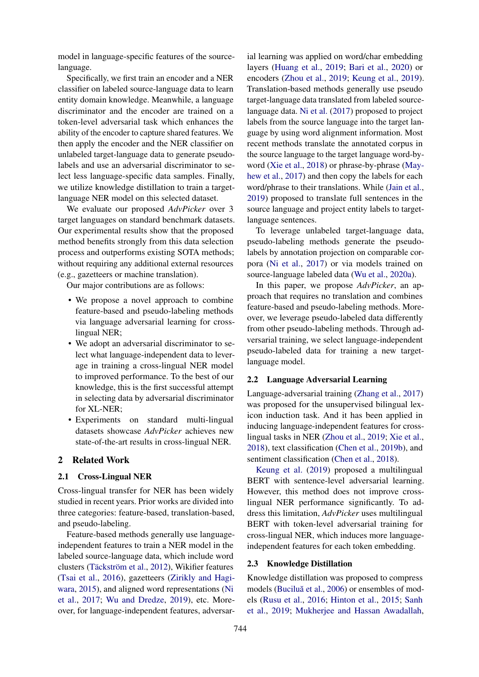model in language-specific features of the sourcelanguage.

Specifically, we first train an encoder and a NER classifier on labeled source-language data to learn entity domain knowledge. Meanwhile, a language discriminator and the encoder are trained on a token-level adversarial task which enhances the ability of the encoder to capture shared features. We then apply the encoder and the NER classifier on unlabeled target-language data to generate pseudolabels and use an adversarial discriminator to select less language-specific data samples. Finally, we utilize knowledge distillation to train a targetlanguage NER model on this selected dataset.

We evaluate our proposed *AdvPicker* over 3 target languages on standard benchmark datasets. Our experimental results show that the proposed method benefits strongly from this data selection process and outperforms existing SOTA methods; without requiring any additional external resources (e.g., gazetteers or machine translation).

Our major contributions are as follows:

- We propose a novel approach to combine feature-based and pseudo-labeling methods via language adversarial learning for crosslingual NER;
- We adopt an adversarial discriminator to select what language-independent data to leverage in training a cross-lingual NER model to improved performance. To the best of our knowledge, this is the first successful attempt in selecting data by adversarial discriminator for XL-NER;
- Experiments on standard multi-lingual datasets showcase *AdvPicker* achieves new state-of-the-art results in cross-lingual NER.

#### 2 Related Work

#### 2.1 Cross-Lingual NER

Cross-lingual transfer for NER has been widely studied in recent years. Prior works are divided into three categories: feature-based, translation-based, and pseudo-labeling.

Feature-based methods generally use languageindependent features to train a NER model in the labeled source-language data, which include word clusters (Täckström et al., [2012\)](#page-10-4), Wikifier features [\(Tsai et al.,](#page-10-5) [2016\)](#page-10-5), gazetteers [\(Zirikly and Hagi](#page-10-6)[wara,](#page-10-6) [2015\)](#page-10-6), and aligned word representations [\(Ni](#page-9-3) [et al.,](#page-9-3) [2017;](#page-9-3) [Wu and Dredze,](#page-10-0) [2019\)](#page-10-0), etc. Moreover, for language-independent features, adversar-

ial learning was applied on word/char embedding layers [\(Huang et al.,](#page-9-4) [2019;](#page-9-4) [Bari et al.,](#page-8-0) [2020\)](#page-8-0) or encoders [\(Zhou et al.,](#page-10-7) [2019;](#page-10-7) [Keung et al.,](#page-9-5) [2019\)](#page-9-5). Translation-based methods generally use pseudo target-language data translated from labeled sourcelanguage data. [Ni et al.](#page-9-3) [\(2017\)](#page-9-3) proposed to project labels from the source language into the target language by using word alignment information. Most recent methods translate the annotated corpus in the source language to the target language word-byword [\(Xie et al.,](#page-10-3) [2018\)](#page-10-3) or phrase-by-phrase [\(May](#page-9-2)[hew et al.,](#page-9-2) [2017\)](#page-9-2) and then copy the labels for each word/phrase to their translations. While [\(Jain et al.,](#page-9-6) [2019\)](#page-9-6) proposed to translate full sentences in the source language and project entity labels to targetlanguage sentences.

To leverage unlabeled target-language data, pseudo-labeling methods generate the pseudolabels by annotation projection on comparable corpora [\(Ni et al.,](#page-9-3) [2017\)](#page-9-3) or via models trained on source-language labeled data [\(Wu et al.,](#page-10-1) [2020a\)](#page-10-1).

In this paper, we propose *AdvPicker*, an approach that requires no translation and combines feature-based and pseudo-labeling methods. Moreover, we leverage pseudo-labeled data differently from other pseudo-labeling methods. Through adversarial training, we select language-independent pseudo-labeled data for training a new targetlanguage model.

### 2.2 Language Adversarial Learning

Language-adversarial training [\(Zhang et al.,](#page-10-8) [2017\)](#page-10-8) was proposed for the unsupervised bilingual lexicon induction task. And it has been applied in inducing language-independent features for crosslingual tasks in NER [\(Zhou et al.,](#page-10-7) [2019;](#page-10-7) [Xie et al.,](#page-10-3) [2018\)](#page-10-3), text classification [\(Chen et al.,](#page-8-1) [2019b\)](#page-8-1), and sentiment classification [\(Chen et al.,](#page-8-2) [2018\)](#page-8-2).

[Keung et al.](#page-9-5) [\(2019\)](#page-9-5) proposed a multilingual BERT with sentence-level adversarial learning. However, this method does not improve crosslingual NER performance significantly. To address this limitation, *AdvPicker* uses multilingual BERT with token-level adversarial training for cross-lingual NER, which induces more languageindependent features for each token embedding.

#### 2.3 Knowledge Distillation

Knowledge distillation was proposed to compress models (Buciluă et al., [2006\)](#page-8-3) or ensembles of models [\(Rusu et al.,](#page-9-7) [2016;](#page-9-7) [Hinton et al.,](#page-9-8) [2015;](#page-9-8) [Sanh](#page-9-9) [et al.,](#page-9-9) [2019;](#page-9-9) [Mukherjee and Hassan Awadallah,](#page-9-10)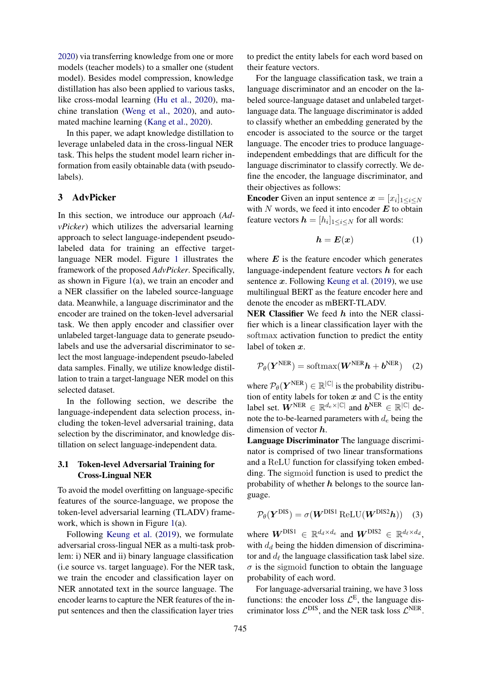[2020\)](#page-9-10) via transferring knowledge from one or more models (teacher models) to a smaller one (student model). Besides model compression, knowledge distillation has also been applied to various tasks, like cross-modal learning [\(Hu et al.,](#page-9-11) [2020\)](#page-9-11), machine translation [\(Weng et al.,](#page-10-9) [2020\)](#page-10-9), and automated machine learning [\(Kang et al.,](#page-9-12) [2020\)](#page-9-12).

In this paper, we adapt knowledge distillation to leverage unlabeled data in the cross-lingual NER task. This helps the student model learn richer information from easily obtainable data (with pseudolabels).

# 3 AdvPicker

In this section, we introduce our approach (*AdvPicker*) which utilizes the adversarial learning approach to select language-independent pseudolabeled data for training an effective targetlanguage NER model. Figure [1](#page-3-0) illustrates the framework of the proposed *AdvPicker*. Specifically, as shown in Figure [1\(](#page-3-0)a), we train an encoder and a NER classifier on the labeled source-language data. Meanwhile, a language discriminator and the encoder are trained on the token-level adversarial task. We then apply encoder and classifier over unlabeled target-language data to generate pseudolabels and use the adversarial discriminator to select the most language-independent pseudo-labeled data samples. Finally, we utilize knowledge distillation to train a target-language NER model on this selected dataset.

In the following section, we describe the language-independent data selection process, including the token-level adversarial training, data selection by the discriminator, and knowledge distillation on select language-independent data.

#### <span id="page-2-0"></span>3.1 Token-level Adversarial Training for Cross-Lingual NER

To avoid the model overfitting on language-specific features of the source-language, we propose the token-level adversarial learning (TLADV) framework, which is shown in Figure [1\(](#page-3-0)a).

Following [Keung et al.](#page-9-5) [\(2019\)](#page-9-5), we formulate adversarial cross-lingual NER as a multi-task problem: i) NER and ii) binary language classification (i.e source vs. target language). For the NER task, we train the encoder and classification layer on NER annotated text in the source language. The encoder learns to capture the NER features of the input sentences and then the classification layer tries

to predict the entity labels for each word based on their feature vectors.

For the language classification task, we train a language discriminator and an encoder on the labeled source-language dataset and unlabeled targetlanguage data. The language discriminator is added to classify whether an embedding generated by the encoder is associated to the source or the target language. The encoder tries to produce languageindependent embeddings that are difficult for the language discriminator to classify correctly. We define the encoder, the language discriminator, and their objectives as follows:

**Encoder** Given an input sentence  $x = [x_i]_{1 \le i \le N}$ with  $N$  words, we feed it into encoder  $E$  to obtain feature vectors  $\mathbf{h} = [h_i]_{1 \leq i \leq N}$  for all words:

<span id="page-2-1"></span>
$$
h = E(x) \tag{1}
$$

where  $E$  is the feature encoder which generates language-independent feature vectors  $h$  for each sentence  $x$ . Following [Keung et al.](#page-9-5) [\(2019\)](#page-9-5), we use multilingual BERT as the feature encoder here and denote the encoder as mBERT-TLADV.

NER Classifier We feed  $h$  into the NER classifier which is a linear classification layer with the softmax activation function to predict the entity label of token x.

<span id="page-2-2"></span>
$$
\mathcal{P}_{\theta}(\boldsymbol{Y}^{NER}) = \text{softmax}(\boldsymbol{W}^{NER}\boldsymbol{h} + \boldsymbol{b}^{NER}) \quad (2)
$$

where  $\mathcal{P}_{\theta}(\boldsymbol{Y}^{NER}) \in \mathbb{R}^{|\mathbb{C}|}$  is the probability distribution of entity labels for token  $x$  and  $\mathbb C$  is the entity label set.  $\mathbf{W}^{\text{NER}} \in \mathbb{R}^{d_e \times |\mathbb{C}|}$  and  $\mathbf{b}^{\text{NER}} \in \mathbb{R}^{|\mathbb{C}|}$  denote the to-be-learned parameters with  $d_e$  being the dimension of vector  $h$ .

Language Discriminator The language discriminator is comprised of two linear transformations and a ReLU function for classifying token embedding. The sigmoid function is used to predict the probability of whether  $h$  belongs to the source language.

<span id="page-2-3"></span>
$$
\mathcal{P}_{\theta}(\boldsymbol{Y}^{\text{DIS}}) = \sigma(\boldsymbol{W}^{\text{DIS1}} \text{ReLU}(\boldsymbol{W}^{\text{DIS2}} \boldsymbol{h})) \quad (3)
$$

where  $W^{\text{DIS1}} \in \mathbb{R}^{d_d \times d_e}$  and  $W^{\text{DIS2}} \in \mathbb{R}^{d_\ell \times d_d}$ , with  $d_d$  being the hidden dimension of discriminator and  $d_\ell$  the language classification task label size.  $\sigma$  is the sigmoid function to obtain the language probability of each word.

For language-adversarial training, we have 3 loss functions: the encoder loss  $\mathcal{L}^E$ , the language discriminator loss  $\mathcal{L}^{DIS}$ , and the NER task loss  $\mathcal{L}^{NER}$ .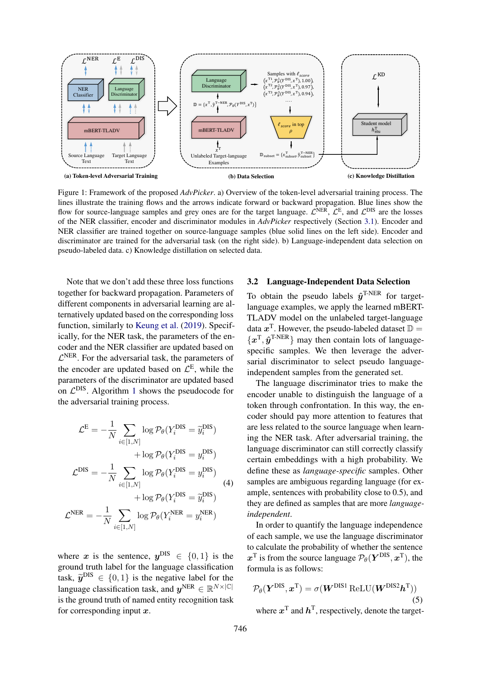<span id="page-3-0"></span>

Figure 1: Framework of the proposed *AdvPicker*. a) Overview of the token-level adversarial training process. The lines illustrate the training flows and the arrows indicate forward or backward propagation. Blue lines show the flow for source-language samples and grey ones are for the target language.  $\mathcal{L}^{NER}$ ,  $\mathcal{L}^{E}$ , and  $\mathcal{L}^{DIS}$  are the losses of the NER classifier, encoder and discriminator modules in *AdvPicker* respectively (Section [3.1\)](#page-2-0). Encoder and NER classifier are trained together on source-language samples (blue solid lines on the left side). Encoder and discriminator are trained for the adversarial task (on the right side). b) Language-independent data selection on pseudo-labeled data. c) Knowledge distillation on selected data.

Note that we don't add these three loss functions together for backward propagation. Parameters of different components in adversarial learning are alternatively updated based on the corresponding loss function, similarly to [Keung et al.](#page-9-5) [\(2019\)](#page-9-5). Specifically, for the NER task, the parameters of the encoder and the NER classifier are updated based on  $\mathcal{L}^{\text{NER}}$ . For the adversarial task, the parameters of the encoder are updated based on  $\mathcal{L}^{\text{E}}$ , while the parameters of the discriminator are updated based on  $\mathcal{L}^{DIS}$ . Algorithm [1](#page-4-0) shows the pseudocode for the adversarial training process.

<span id="page-3-1"></span>
$$
\mathcal{L}^{\mathcal{E}} = -\frac{1}{N} \sum_{i \in [1,N]} \log \mathcal{P}_{\theta}(Y_i^{\text{DIS}} = \tilde{y}_i^{\text{DIS}}) \n+ \log \mathcal{P}_{\theta}(Y_i^{\text{DIS}} = y_i^{\text{DIS}}) \n\mathcal{L}^{\text{DIS}} = -\frac{1}{N} \sum_{i \in [1,N]} \log \mathcal{P}_{\theta}(Y_i^{\text{DIS}} = y_i^{\text{DIS}}) \n+ \log \mathcal{P}_{\theta}(Y_i^{\text{DIS}} = \tilde{y}_i^{\text{DIS}})
$$
\n
$$
\mathcal{L}^{\text{NER}} = -\frac{1}{N} \sum_{i \in [1,N]} \log \mathcal{P}_{\theta}(Y_i^{\text{NER}} = y_i^{\text{NER}})
$$
\n(4)

where x is the sentence,  $y^{DIS} \in \{0, 1\}$  is the ground truth label for the language classification task,  $\tilde{y}^{DIS} \in \{0, 1\}$  is the negative label for the language elastification took and  $x^{NER} \subset \mathbb{R}^{N \times |\mathbb{C}|}$ language classification task, and  $y^{NER} \in \mathbb{R}^{N \times |\mathbb{C}|}$ is the ground truth of named entity recognition task for corresponding input  $x$ .

# 3.2 Language-Independent Data Selection

To obtain the pseudo labels  $\hat{y}^{\text{T-NER}}$  for targetlanguage examples, we apply the learned mBERT-TLADV model on the unlabeled target-language data  $x^T$ . However, the pseudo-labeled dataset  $\mathbb{D} =$  $\{x^{\text{T}}, \hat{y}^{\text{T-NER}}\}\$  may then contain lots of languagespecific samples. We then leverage the adversarial discriminator to select pseudo languageindependent samples from the generated set.

The language discriminator tries to make the encoder unable to distinguish the language of a token through confrontation. In this way, the encoder should pay more attention to features that are less related to the source language when learning the NER task. After adversarial training, the language discriminator can still correctly classify certain embeddings with a high probability. We define these as *language-specific* samples. Other samples are ambiguous regarding language (for example, sentences with probability close to 0.5), and they are defined as samples that are more *languageindependent*.

In order to quantify the language independence of each sample, we use the language discriminator to calculate the probability of whether the sentence  $x^T$  is from the source language  $\mathcal{P}_{\theta}(\boldsymbol{Y}^{\text{DIS}}, \boldsymbol{x}^T)$ , the formula is as follows:

$$
\mathcal{P}_{\theta}(\boldsymbol{Y}^{\text{DIS}}, \boldsymbol{x}^{\text{T}}) = \sigma(\boldsymbol{W}^{\text{DIS1}} \text{ReLU}(\boldsymbol{W}^{\text{DIS2}} \boldsymbol{h}^{\text{T}}))
$$
\n(5)

where  $x^T$  and  $h^T$ , respectively, denote the target-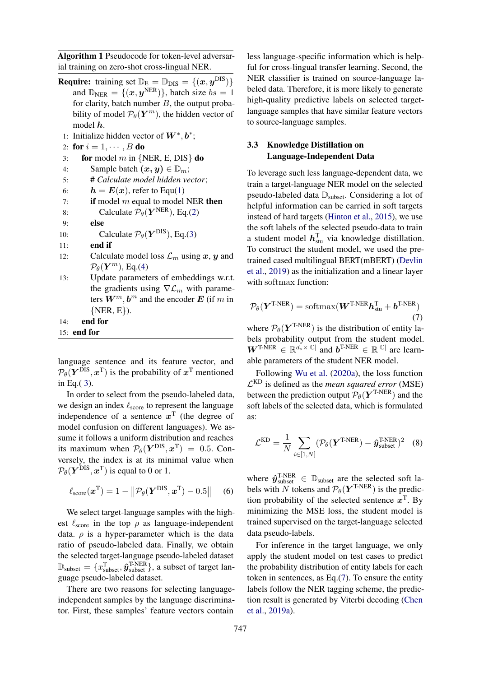<span id="page-4-0"></span>Algorithm 1 Pseudocode for token-level adversarial training on zero-shot cross-lingual NER.

- **Require:** training set  $\mathbb{D}_E = \mathbb{D}_{DIS} = \{(x, y^{DIS})\}$ and  $\mathbb{D}_{NER} = \{ (x, y^{NER}) \}$ , batch size  $bs = 1$ for clarity, batch number  $B$ , the output probability of model  $\mathcal{P}_{\theta}(\bm{Y}^m)$ , the hidden vector of model  $h$ .
- 1: Initialize hidden vector of  $W^*, b^*;$
- 2: for  $i = 1, \dots, B$  do
- 3: for model m in  ${NER, E, DIS}$  do
- 4: Sample batch  $(x, y) \in \mathbb{D}_m$ ;
- 5: # *Calculate model hidden vector*;
- 6:  $h = E(x)$ , refer to Equ[\(1\)](#page-2-1)
- 7: **if** model m equal to model NER then

8: Calculate 
$$
\mathcal{P}_{\theta}(\boldsymbol{Y}^{NER})
$$
, Eq.(2)

9: else

10: Calculate 
$$
\mathcal{P}_{\theta}(\boldsymbol{Y}^{DIS}), Eq.(3)
$$

- 11: end if
- 12: Calculate model loss  $\mathcal{L}_m$  using  $x, y$  and  $\mathcal{P}_{\theta}(\boldsymbol{Y}^{m})$ , Eq.[\(4\)](#page-3-1)
- 13: Update parameters of embeddings w.r.t. the gradients using  $\nabla \mathcal{L}_m$  with parameters  $W^m$ ,  $b^m$  and the encoder E (if m in  $\{NER, E\}$ .

14: end for

```
15: end for
```
language sentence and its feature vector, and  $\mathcal{P}_{\theta}(\boldsymbol{Y}^{\text{DIS}}, \boldsymbol{x}^{\text{T}})$  is the probability of  $\boldsymbol{x}^{\text{T}}$  mentioned in Eq. $(3)$  $(3)$ .

In order to select from the pseudo-labeled data, we design an index  $\ell_{\text{score}}$  to represent the language independence of a sentence  $x^T$  (the degree of model confusion on different languages). We assume it follows a uniform distribution and reaches its maximum when  $\mathcal{P}_{\theta}(\boldsymbol{Y}^{\text{DIS}}, \boldsymbol{x}^{\text{T}}) = 0.5$ . Conversely, the index is at its minimal value when  $\mathcal{P}_{\theta}(\boldsymbol{Y}^{\text{DIS}}, \boldsymbol{x}^{\text{T}})$  is equal to 0 or 1.

$$
\ell_{score}(\boldsymbol{x}^{\mathrm{T}}) = 1 - ||\mathcal{P}_{\theta}(\boldsymbol{Y}^{\mathrm{DIS}}, \boldsymbol{x}^{\mathrm{T}}) - 0.5|| \quad (6)
$$

We select target-language samples with the highest  $\ell_{\text{score}}$  in the top  $\rho$  as language-independent data.  $\rho$  is a hyper-parameter which is the data ratio of pseudo-labeled data. Finally, we obtain the selected target-language pseudo-labeled dataset  $\mathbb{D}_{\text{subset}} = \{x_{\text{subset}}^{\text{T}}, \hat{y}_{\text{subset}}^{\text{T-NER}}\},\$ a subset of target language pseudo-labeled dataset.

There are two reasons for selecting languageindependent samples by the language discriminator. First, these samples' feature vectors contain

less language-specific information which is helpful for cross-lingual transfer learning. Second, the NER classifier is trained on source-language labeled data. Therefore, it is more likely to generate high-quality predictive labels on selected targetlanguage samples that have similar feature vectors to source-language samples.

# 3.3 Knowledge Distillation on Language-Independent Data

To leverage such less language-dependent data, we train a target-language NER model on the selected pseudo-labeled data  $\mathbb{D}_{\text{subset}}$ . Considering a lot of helpful information can be carried in soft targets instead of hard targets [\(Hinton et al.,](#page-9-8) [2015\)](#page-9-8), we use the soft labels of the selected pseudo-data to train a student model  $h_{\text{stu}}^{\text{T}}$  via knowledge distillation. To construct the student model, we used the pretrained cased multilingual BERT(mBERT) [\(Devlin](#page-8-4) [et al.,](#page-8-4) [2019\)](#page-8-4) as the initialization and a linear layer with softmax function:

<span id="page-4-1"></span>
$$
\mathcal{P}_{\theta}(\boldsymbol{Y}^{\text{T-NER}}) = \text{softmax}(\boldsymbol{W}^{\text{T-NER}} \boldsymbol{h}_{\text{stu}}^{\text{T}} + \boldsymbol{b}^{\text{T-NER}})
$$
\n(7)

where  $P_{\theta}(Y^{T\text{-}NER})$  is the distribution of entity labels probability output from the student model.  $W^{T\text{-}\hat{\text{N}}\text{ER}} \in \mathbb{R}^{d_s \times |\mathbb{C}|}$  and  $b^{T\text{-}\text{N}\text{ER}} \in \mathbb{R}^{|\mathbb{C}|}$  are learnable parameters of the student NER model.

Following [Wu et al.](#page-10-1) [\(2020a\)](#page-10-1), the loss function L KD is defined as the *mean squared error* (MSE) between the prediction output  $P_{\theta}(Y^{T\text{-}NER})$  and the soft labels of the selected data, which is formulated as:

$$
\mathcal{L}^{\text{KD}} = \frac{1}{N} \sum_{i \in [1, N]} (\mathcal{P}_{\theta}(\boldsymbol{Y}^{\text{T-NER}}) - \hat{\boldsymbol{y}}^{\text{T-NER}}_{\text{subset}})^2 \quad (8)
$$

where  $\hat{y}_{\text{subset}}^{\text{T-NER}} \in \mathbb{D}_{\text{subset}}$  are the selected soft labels with N tokens and  $P_{\theta}(\boldsymbol{Y}^{\text{T-NER}})$  is the prediction probability of the selected sentence  $x^T$ . By minimizing the MSE loss, the student model is trained supervised on the target-language selected data pseudo-labels.

For inference in the target language, we only apply the student model on test cases to predict the probability distribution of entity labels for each token in sentences, as Eq.[\(7\)](#page-4-1). To ensure the entity labels follow the NER tagging scheme, the prediction result is generated by Viterbi decoding [\(Chen](#page-8-5) [et al.,](#page-8-5) [2019a\)](#page-8-5).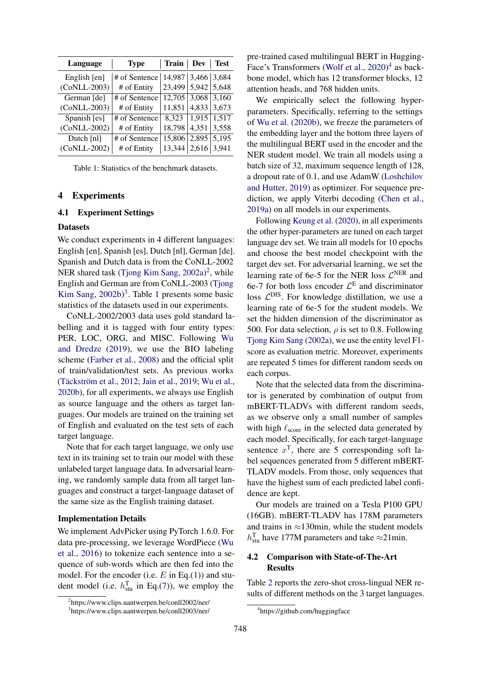<span id="page-5-2"></span>

| Language     | <b>Type</b>   | Train   Dev   Test |               |       |
|--------------|---------------|--------------------|---------------|-------|
| English [en] | # of Sentence | 14,987 3,466 3,684 |               |       |
| (CoNLL-2003) | # of Entity   | 23,499             | $5,942$ 5,648 |       |
| German [de]  | # of Sentence | 12,705             | 3,068         | 3,160 |
| (CoNLL-2003) | # of Entity   | 11,851             | 4,833         | 3,673 |
| Spanish [es] | # of Sentence | 8,323              | 1,915         | 1,517 |
| (CoNLL-2002) | # of Entity   | 18,798             | 4,351         | 3,558 |
| Dutch [nl]   | # of Sentence | 15,806             | 2,895         | 5,195 |
| (CoNLL-2002) | # of Entity   | 13,344             | $2,616$ 3,941 |       |

Table 1: Statistics of the benchmark datasets.

#### 4 Experiments

#### 4.1 Experiment Settings

#### **Datasets**

We conduct experiments in 4 different languages: English [en], Spanish [es], Dutch [nl], German [de]. Spanish and Dutch data is from the CoNLL-2002 NER shared task [\(Tjong Kim Sang,](#page-10-10) [2002a\)](#page-10-10)<sup>[2](#page-5-0)</sup>, while English and German are from CoNLL-2003 [\(Tjong](#page-10-11) [Kim Sang,](#page-10-11) [2002b\)](#page-10-11) [3](#page-5-1) . Table [1](#page-5-2) presents some basic statistics of the datasets used in our experiments.

CoNLL-2002/2003 data uses gold standard labelling and it is tagged with four entity types: PER, LOC, ORG, and MISC. Following [Wu](#page-10-0) [and Dredze](#page-10-0) [\(2019\)](#page-10-0), we use the BIO labeling scheme [\(Farber et al.,](#page-9-13) [2008\)](#page-9-13) and the official split of train/validation/test sets. As previous works (Täckström et al., [2012;](#page-10-4) [Jain et al.,](#page-9-6) [2019;](#page-9-6) [Wu et al.,](#page-10-2) [2020b\)](#page-10-2), for all experiments, we always use English as source language and the others as target languages. Our models are trained on the training set of English and evaluated on the test sets of each target language.

Note that for each target language, we only use text in its training set to train our model with these unlabeled target language data. In adversarial learning, we randomly sample data from all target languages and construct a target-language dataset of the same size as the English training dataset.

#### Implementation Details

We implement AdvPicker using PyTorch 1.6.0. For data pre-processing, we leverage WordPiece [\(Wu](#page-10-12) [et al.,](#page-10-12) [2016\)](#page-10-12) to tokenize each sentence into a sequence of sub-words which are then fed into the model. For the encoder (i.e.  $E$  in Eq.[\(1\)](#page-2-1)) and student model (i.e.  $h_{\text{stu}}^{\text{T}}$  in Eq.[\(7\)](#page-4-1)), we employ the

pre-trained cased multilingual BERT in Hugging-Face's Transformers [\(Wolf et al.,](#page-10-13) [2020\)](#page-10-13)<sup>[4](#page-5-3)</sup> as backbone model, which has 12 transformer blocks, 12 attention heads, and 768 hidden units.

We empirically select the following hyperparameters. Specifically, referring to the settings of [Wu et al.](#page-10-2) [\(2020b\)](#page-10-2), we freeze the parameters of the embedding layer and the bottom three layers of the multilingual BERT used in the encoder and the NER student model. We train all models using a batch size of 32, maximum sequence length of 128, a dropout rate of 0.1, and use AdamW [\(Loshchilov](#page-9-14) [and Hutter,](#page-9-14) [2019\)](#page-9-14) as optimizer. For sequence prediction, we apply Viterbi decoding [\(Chen et al.,](#page-8-5) [2019a\)](#page-8-5) on all models in our experiments.

Following [Keung et al.](#page-9-15) [\(2020\)](#page-9-15), in all experiments the other hyper-parameters are tuned on each target language dev set. We train all models for 10 epochs and choose the best model checkpoint with the target dev set. For adversarial learning, we set the learning rate of 6e-5 for the NER loss  $\mathcal{L}^{\text{NER}}$  and 6e-7 for both loss encoder  $\mathcal{L}^{\text{E}}$  and discriminator loss  $\mathcal{L}^{DIS}$ . For knowledge distillation, we use a learning rate of 6e-5 for the student models. We set the hidden dimension of the discriminator as 500. For data selection,  $\rho$  is set to 0.8. Following [Tjong Kim Sang](#page-10-10) [\(2002a\)](#page-10-10), we use the entity level F1 score as evaluation metric. Moreover, experiments are repeated 5 times for different random seeds on each corpus.

Note that the selected data from the discriminator is generated by combination of output from mBERT-TLADVs with different random seeds, as we observe only a small number of samples with high  $\ell_{\text{score}}$  in the selected data generated by each model. Specifically, for each target-language sentence  $x^T$ , there are 5 corresponding soft label sequences generated from 5 different mBERT-TLADV models. From those, only sequences that have the highest sum of each predicted label confidence are kept.

Our models are trained on a Tesla P100 GPU (16GB). mBERT-TLADV has 178M parameters and trains in  $\approx$ 130min, while the student models  $h_{\text{stu}}^{\text{T}}$  have 177M parameters and take  $\approx$ 21min.

# 4.2 Comparison with State-of-The-Art Results

Table [2](#page-6-0) reports the zero-shot cross-lingual NER results of different methods on the 3 target languages.

<span id="page-5-0"></span><sup>2</sup> https://www.clips.uantwerpen.be/conll2002/ner/

<span id="page-5-1"></span><sup>3</sup> https://www.clips.uantwerpen.be/conll2003/ner/

<span id="page-5-3"></span><sup>4</sup> https://github.com/huggingface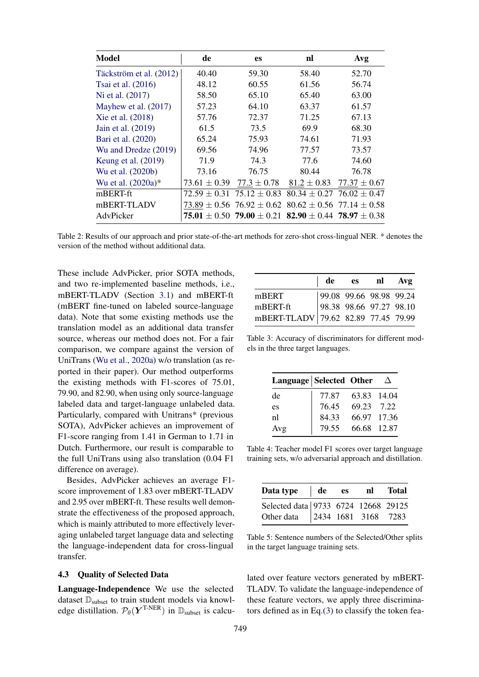<span id="page-6-0"></span>

| <b>Model</b>            | de               | <b>es</b>        | nl                                                                  | Avg                               |
|-------------------------|------------------|------------------|---------------------------------------------------------------------|-----------------------------------|
| Täckström et al. (2012) | 40.40            | 59.30            | 58.40                                                               | 52.70                             |
| Tsai et al. (2016)      | 48.12            | 60.55            | 61.56                                                               | 56.74                             |
| Ni et al. (2017)        | 58.50            | 65.10            | 65.40                                                               | 63.00                             |
| Mayhew et al. (2017)    | 57.23            | 64.10            | 63.37                                                               | 61.57                             |
| Xie et al. (2018)       | 57.76            | 72.37            | 71.25                                                               | 67.13                             |
| Jain et al. (2019)      | 61.5             | 73.5             | 69.9                                                                | 68.30                             |
| Bari et al. (2020)      | 65.24            | 75.93            | 74.61                                                               | 71.93                             |
| Wu and Dredze (2019)    | 69.56            | 74.96            | 77.57                                                               | 73.57                             |
| Keung et al. (2019)     | 71.9             | 74.3             | 77.6                                                                | 74.60                             |
| Wu et al. (2020b)       | 73.16            | 76.75            | 80.44                                                               | 76.78                             |
| Wu et al. (2020a)*      | $73.61 \pm 0.39$ | $77.3 \pm 0.78$  | $81.2 \pm 0.83$                                                     | $77.37 \pm 0.67$                  |
| mBERT-ft                | $72.59 \pm 0.31$ | $75.12 \pm 0.83$ |                                                                     | $80.34 \pm 0.27$ 76.02 $\pm$ 0.47 |
| mBERT-TLADV             |                  |                  | $73.89 \pm 0.56$ $76.92 \pm 0.62$ $80.62 \pm 0.56$ $77.14 \pm 0.58$ |                                   |
| AdvPicker               |                  |                  | 75.01 $\pm$ 0.50 79.00 $\pm$ 0.21 82.90 $\pm$ 0.44 78.97 $\pm$ 0.38 |                                   |

Table 2: Results of our approach and prior state-of-the-art methods for zero-shot cross-lingual NER. \* denotes the version of the method without additional data.

These include AdvPicker, prior SOTA methods, and two re-implemented baseline methods, i.e., mBERT-TLADV (Section [3.1\)](#page-2-0) and mBERT-ft (mBERT fine-tuned on labeled source-language data). Note that some existing methods use the translation model as an additional data transfer source, whereas our method does not. For a fair comparison, we compare against the version of UniTrans [\(Wu et al.,](#page-10-1) [2020a\)](#page-10-1) w/o translation (as reported in their paper). Our method outperforms the existing methods with F1-scores of 75.01, 79.90, and 82.90, when using only source-language labeled data and target-language unlabeled data. Particularly, compared with Unitrans\* (previous SOTA), AdvPicker achieves an improvement of F1-score ranging from 1.41 in German to 1.71 in Dutch. Furthermore, our result is comparable to the full UniTrans using also translation (0.04 F1 difference on average).

Besides, AdvPicker achieves an average F1 score improvement of 1.83 over mBERT-TLADV and 2.95 over mBERT-ft. These results well demonstrate the effectiveness of the proposed approach, which is mainly attributed to more effectively leveraging unlabeled target language data and selecting the language-independent data for cross-lingual transfer.

# 4.3 Quality of Selected Data

Language-Independence We use the selected dataset  $\mathbb{D}_{\text{subset}}$  to train student models via knowledge distillation.  $\mathcal{P}_{\theta}(\boldsymbol{Y}^{\text{T-NER}})$  in  $\mathbb{D}_{\text{subset}}$  is calcu-

<span id="page-6-1"></span>

|                                                                                                          | de | es nl Avg |  |
|----------------------------------------------------------------------------------------------------------|----|-----------|--|
| mBERT 99.08 99.66 98.98 99.24<br>mBERT-ft 98.38 98.66 97.27 98.10<br>mBERT-TLADV 79.62 82.89 77.45 79.99 |    |           |  |
|                                                                                                          |    |           |  |
|                                                                                                          |    |           |  |

Table 3: Accuracy of discriminators for different models in the three target languages.

<span id="page-6-2"></span>

| Language Selected Other |       |             | $\Delta$ |
|-------------------------|-------|-------------|----------|
| de                      | 77.87 | 63.83 14.04 |          |
| es                      | 76.45 | 69.23 7.22  |          |
| nl                      | 84.33 | 66.97 17.36 |          |
| Avg                     | 79.55 | 66.68 12.87 |          |

Table 4: Teacher model F1 scores over target language training sets, w/o adversarial approach and distillation.

<span id="page-6-3"></span>

| Data type de es nl Total                                              |  |  |
|-----------------------------------------------------------------------|--|--|
|                                                                       |  |  |
| Selected data 9733 6724 12668 29125<br>Other data 2434 1681 3168 7283 |  |  |

Table 5: Sentence numbers of the Selected/Other splits in the target language training sets.

lated over feature vectors generated by mBERT-TLADV. To validate the language-independence of these feature vectors, we apply three discriminators defined as in Eq.[\(3\)](#page-2-3) to classify the token fea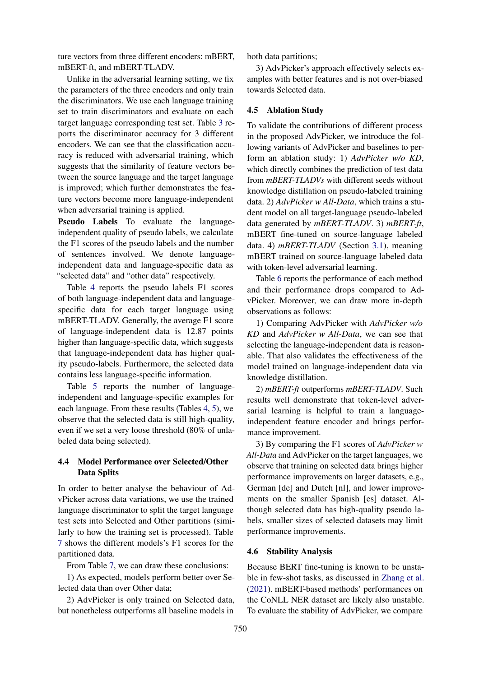ture vectors from three different encoders: mBERT, mBERT-ft, and mBERT-TLADV.

Unlike in the adversarial learning setting, we fix the parameters of the three encoders and only train the discriminators. We use each language training set to train discriminators and evaluate on each target language corresponding test set. Table [3](#page-6-1) reports the discriminator accuracy for 3 different encoders. We can see that the classification accuracy is reduced with adversarial training, which suggests that the similarity of feature vectors between the source language and the target language is improved; which further demonstrates the feature vectors become more language-independent when adversarial training is applied.

Pseudo Labels To evaluate the languageindependent quality of pseudo labels, we calculate the F1 scores of the pseudo labels and the number of sentences involved. We denote languageindependent data and language-specific data as "selected data" and "other data" respectively.

Table [4](#page-6-2) reports the pseudo labels F1 scores of both language-independent data and languagespecific data for each target language using mBERT-TLADV. Generally, the average F1 score of language-independent data is 12.87 points higher than language-specific data, which suggests that language-independent data has higher quality pseudo-labels. Furthermore, the selected data contains less language-specific information.

Table [5](#page-6-3) reports the number of languageindependent and language-specific examples for each language. From these results (Tables [4,](#page-6-2) [5\)](#page-6-3), we observe that the selected data is still high-quality, even if we set a very loose threshold (80% of unlabeled data being selected).

# 4.4 Model Performance over Selected/Other Data Splits

In order to better analyse the behaviour of AdvPicker across data variations, we use the trained language discriminator to split the target language test sets into Selected and Other partitions (similarly to how the training set is processed). Table [7](#page-8-6) shows the different models's F1 scores for the partitioned data.

From Table [7,](#page-8-6) we can draw these conclusions:

1) As expected, models perform better over Selected data than over Other data;

2) AdvPicker is only trained on Selected data, but nonetheless outperforms all baseline models in

both data partitions;

3) AdvPicker's approach effectively selects examples with better features and is not over-biased towards Selected data.

#### 4.5 Ablation Study

To validate the contributions of different process in the proposed AdvPicker, we introduce the following variants of AdvPicker and baselines to perform an ablation study: 1) *AdvPicker w/o KD*, which directly combines the prediction of test data from *mBERT-TLADVs* with different seeds without knowledge distillation on pseudo-labeled training data. 2) *AdvPicker w All-Data*, which trains a student model on all target-language pseudo-labeled data generated by *mBERT-TLADV*. 3) *mBERT-ft*, mBERT fine-tuned on source-language labeled data. 4) *mBERT-TLADV* (Section [3.1\)](#page-2-0), meaning mBERT trained on source-language labeled data with token-level adversarial learning.

Table [6](#page-8-7) reports the performance of each method and their performance drops compared to AdvPicker. Moreover, we can draw more in-depth observations as follows:

1) Comparing AdvPicker with *AdvPicker w/o KD* and *AdvPicker w All-Data*, we can see that selecting the language-independent data is reasonable. That also validates the effectiveness of the model trained on language-independent data via knowledge distillation.

2) *mBERT-ft* outperforms *mBERT-TLADV*. Such results well demonstrate that token-level adversarial learning is helpful to train a languageindependent feature encoder and brings performance improvement.

3) By comparing the F1 scores of *AdvPicker w All-Data* and AdvPicker on the target languages, we observe that training on selected data brings higher performance improvements on larger datasets, e.g., German [de] and Dutch [nl], and lower improvements on the smaller Spanish [es] dataset. Although selected data has high-quality pseudo labels, smaller sizes of selected datasets may limit performance improvements.

#### 4.6 Stability Analysis

Because BERT fine-tuning is known to be unstable in few-shot tasks, as discussed in [Zhang et al.](#page-10-14) [\(2021\)](#page-10-14). mBERT-based methods' performances on the CoNLL NER dataset are likely also unstable. To evaluate the stability of AdvPicker, we compare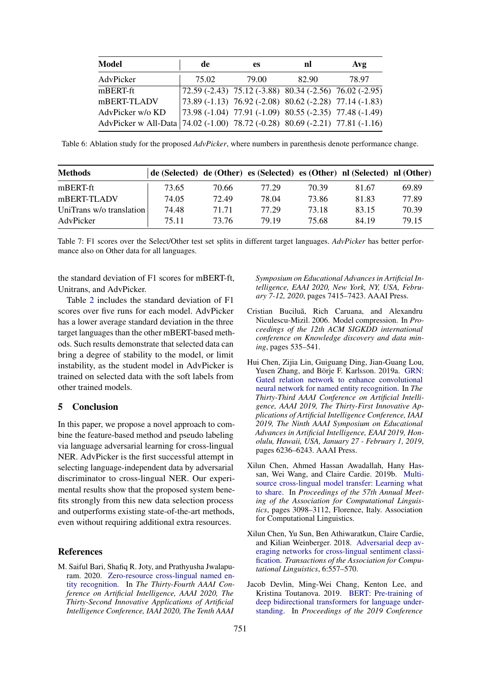<span id="page-8-7"></span>

| Model                                                                        | de    | es    | nl                                                               | Avg   |
|------------------------------------------------------------------------------|-------|-------|------------------------------------------------------------------|-------|
| AdvPicker                                                                    | 75.02 | 79.00 | 82.90                                                            | 78.97 |
| mBERT-ft                                                                     |       |       | $\sqrt{72.59 (-2.43) 75.12 (-3.88) 80.34 (-2.56) 76.02 (-2.95)}$ |       |
| mBERT-TLADV                                                                  |       |       | $73.89(-1.13)$ 76.92 (-2.08) 80.62 (-2.28) 77.14 (-1.83)         |       |
| AdvPicker w/o KD                                                             |       |       | $\mid$ 73.98 (-1.04) 77.91 (-1.09) 80.55 (-2.35) 77.48 (-1.49)   |       |
| AdvPicker w All-Data 74.02 (-1.00) 78.72 (-0.28) 80.69 (-2.21) 77.81 (-1.16) |       |       |                                                                  |       |

Table 6: Ablation study for the proposed *AdvPicker*, where numbers in parenthesis denote performance change.

<span id="page-8-6"></span>

| <b>Methods</b>           | de (Selected) de (Other) es (Selected) es (Other) nl (Selected) nl (Other) |       |       |       |       |       |
|--------------------------|----------------------------------------------------------------------------|-------|-------|-------|-------|-------|
| mBERT-ft                 | 73.65                                                                      | 70.66 | 77.29 | 70.39 | 81.67 | 69.89 |
| mBERT-TLADV              | 74.05                                                                      | 72.49 | 78.04 | 73.86 | 81.83 | 77.89 |
| UniTrans w/o translation | 74.48                                                                      | 71.71 | 77.29 | 73.18 | 83.15 | 70.39 |
| AdvPicker                | 75.11                                                                      | 73.76 | 79.19 | 75.68 | 84.19 | 79.15 |

Table 7: F1 scores over the Select/Other test set splits in different target languages. *AdvPicker* has better performance also on Other data for all languages.

the standard deviation of F1 scores for mBERT-ft, Unitrans, and AdvPicker.

Table [2](#page-6-0) includes the standard deviation of F1 scores over five runs for each model. AdvPicker has a lower average standard deviation in the three target languages than the other mBERT-based methods. Such results demonstrate that selected data can bring a degree of stability to the model, or limit instability, as the student model in AdvPicker is trained on selected data with the soft labels from other trained models.

# 5 Conclusion

In this paper, we propose a novel approach to combine the feature-based method and pseudo labeling via language adversarial learning for cross-lingual NER. AdvPicker is the first successful attempt in selecting language-independent data by adversarial discriminator to cross-lingual NER. Our experimental results show that the proposed system benefits strongly from this new data selection process and outperforms existing state-of-the-art methods, even without requiring additional extra resources.

#### References

<span id="page-8-0"></span>M. Saiful Bari, Shafiq R. Joty, and Prathyusha Jwalapuram. 2020. [Zero-resource cross-lingual named en](https://aaai.org/ojs/index.php/AAAI/article/view/6237)[tity recognition.](https://aaai.org/ojs/index.php/AAAI/article/view/6237) In *The Thirty-Fourth AAAI Conference on Artificial Intelligence, AAAI 2020, The Thirty-Second Innovative Applications of Artificial Intelligence Conference, IAAI 2020, The Tenth AAAI*

*Symposium on Educational Advances in Artificial Intelligence, EAAI 2020, New York, NY, USA, February 7-12, 2020*, pages 7415–7423. AAAI Press.

- <span id="page-8-3"></span>Cristian Buciluă, Rich Caruana, and Alexandru Niculescu-Mizil. 2006. Model compression. In *Proceedings of the 12th ACM SIGKDD international conference on Knowledge discovery and data mining*, pages 535–541.
- <span id="page-8-5"></span>Hui Chen, Zijia Lin, Guiguang Ding, Jian-Guang Lou, Yusen Zhang, and Börje F. Karlsson. 2019a. [GRN:](https://doi.org/10.1609/aaai.v33i01.33016236) [Gated relation network to enhance convolutional](https://doi.org/10.1609/aaai.v33i01.33016236) [neural network for named entity recognition.](https://doi.org/10.1609/aaai.v33i01.33016236) In *The Thirty-Third AAAI Conference on Artificial Intelligence, AAAI 2019, The Thirty-First Innovative Applications of Artificial Intelligence Conference, IAAI 2019, The Ninth AAAI Symposium on Educational Advances in Artificial Intelligence, EAAI 2019, Honolulu, Hawaii, USA, January 27 - February 1, 2019*, pages 6236–6243. AAAI Press.
- <span id="page-8-1"></span>Xilun Chen, Ahmed Hassan Awadallah, Hany Hassan, Wei Wang, and Claire Cardie. 2019b. [Multi](https://doi.org/10.18653/v1/P19-1299)[source cross-lingual model transfer: Learning what](https://doi.org/10.18653/v1/P19-1299) [to share.](https://doi.org/10.18653/v1/P19-1299) In *Proceedings of the 57th Annual Meeting of the Association for Computational Linguistics*, pages 3098–3112, Florence, Italy. Association for Computational Linguistics.
- <span id="page-8-2"></span>Xilun Chen, Yu Sun, Ben Athiwaratkun, Claire Cardie, and Kilian Weinberger. 2018. [Adversarial deep av](https://doi.org/10.1162/tacl_a_00039)[eraging networks for cross-lingual sentiment classi](https://doi.org/10.1162/tacl_a_00039)[fication.](https://doi.org/10.1162/tacl_a_00039) *Transactions of the Association for Computational Linguistics*, 6:557–570.
- <span id="page-8-4"></span>Jacob Devlin, Ming-Wei Chang, Kenton Lee, and Kristina Toutanova. 2019. [BERT: Pre-training of](https://doi.org/10.18653/v1/N19-1423) [deep bidirectional transformers for language under](https://doi.org/10.18653/v1/N19-1423)[standing.](https://doi.org/10.18653/v1/N19-1423) In *Proceedings of the 2019 Conference*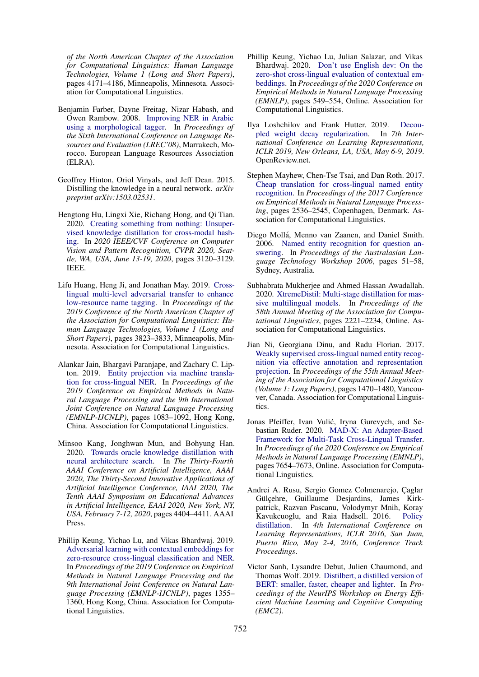*of the North American Chapter of the Association for Computational Linguistics: Human Language Technologies, Volume 1 (Long and Short Papers)*, pages 4171–4186, Minneapolis, Minnesota. Association for Computational Linguistics.

- <span id="page-9-13"></span>Benjamin Farber, Dayne Freitag, Nizar Habash, and Owen Rambow. 2008. [Improving NER in Arabic](http://www.lrec-conf.org/proceedings/lrec2008/pdf/625_paper.pdf) [using a morphological tagger.](http://www.lrec-conf.org/proceedings/lrec2008/pdf/625_paper.pdf) In *Proceedings of the Sixth International Conference on Language Resources and Evaluation (LREC'08)*, Marrakech, Morocco. European Language Resources Association (ELRA).
- <span id="page-9-8"></span>Geoffrey Hinton, Oriol Vinyals, and Jeff Dean. 2015. Distilling the knowledge in a neural network. *arXiv preprint arXiv:1503.02531*.
- <span id="page-9-11"></span>Hengtong Hu, Lingxi Xie, Richang Hong, and Qi Tian. 2020. [Creating something from nothing: Unsuper](https://doi.org/10.1109/CVPR42600.2020.00319)[vised knowledge distillation for cross-modal hash](https://doi.org/10.1109/CVPR42600.2020.00319)[ing.](https://doi.org/10.1109/CVPR42600.2020.00319) In *2020 IEEE/CVF Conference on Computer Vision and Pattern Recognition, CVPR 2020, Seattle, WA, USA, June 13-19, 2020*, pages 3120–3129. IEEE.
- <span id="page-9-4"></span>Lifu Huang, Heng Ji, and Jonathan May. 2019. [Cross](https://doi.org/10.18653/v1/N19-1383)[lingual multi-level adversarial transfer to enhance](https://doi.org/10.18653/v1/N19-1383) [low-resource name tagging.](https://doi.org/10.18653/v1/N19-1383) In *Proceedings of the 2019 Conference of the North American Chapter of the Association for Computational Linguistics: Human Language Technologies, Volume 1 (Long and Short Papers)*, pages 3823–3833, Minneapolis, Minnesota. Association for Computational Linguistics.
- <span id="page-9-6"></span>Alankar Jain, Bhargavi Paranjape, and Zachary C. Lipton. 2019. [Entity projection via machine transla](https://doi.org/10.18653/v1/D19-1100)[tion for cross-lingual NER.](https://doi.org/10.18653/v1/D19-1100) In *Proceedings of the 2019 Conference on Empirical Methods in Natural Language Processing and the 9th International Joint Conference on Natural Language Processing (EMNLP-IJCNLP)*, pages 1083–1092, Hong Kong, China. Association for Computational Linguistics.
- <span id="page-9-12"></span>Minsoo Kang, Jonghwan Mun, and Bohyung Han. 2020. [Towards oracle knowledge distillation with](https://aaai.org/ojs/index.php/AAAI/article/view/5866) [neural architecture search.](https://aaai.org/ojs/index.php/AAAI/article/view/5866) In *The Thirty-Fourth AAAI Conference on Artificial Intelligence, AAAI 2020, The Thirty-Second Innovative Applications of Artificial Intelligence Conference, IAAI 2020, The Tenth AAAI Symposium on Educational Advances in Artificial Intelligence, EAAI 2020, New York, NY, USA, February 7-12, 2020*, pages 4404–4411. AAAI Press.
- <span id="page-9-5"></span>Phillip Keung, Yichao Lu, and Vikas Bhardwaj. 2019. [Adversarial learning with contextual embeddings for](https://doi.org/10.18653/v1/D19-1138) [zero-resource cross-lingual classification and NER.](https://doi.org/10.18653/v1/D19-1138) In *Proceedings of the 2019 Conference on Empirical Methods in Natural Language Processing and the 9th International Joint Conference on Natural Language Processing (EMNLP-IJCNLP)*, pages 1355– 1360, Hong Kong, China. Association for Computational Linguistics.
- <span id="page-9-15"></span>Phillip Keung, Yichao Lu, Julian Salazar, and Vikas Bhardwaj. 2020. [Don't use English dev: On the](https://doi.org/10.18653/v1/2020.emnlp-main.40) [zero-shot cross-lingual evaluation of contextual em](https://doi.org/10.18653/v1/2020.emnlp-main.40)[beddings.](https://doi.org/10.18653/v1/2020.emnlp-main.40) In *Proceedings of the 2020 Conference on Empirical Methods in Natural Language Processing (EMNLP)*, pages 549–554, Online. Association for Computational Linguistics.
- <span id="page-9-14"></span>Ilya Loshchilov and Frank Hutter. 2019. [Decou](https://openreview.net/forum?id=Bkg6RiCqY7)[pled weight decay regularization.](https://openreview.net/forum?id=Bkg6RiCqY7) In *7th International Conference on Learning Representations, ICLR 2019, New Orleans, LA, USA, May 6-9, 2019*. OpenReview.net.
- <span id="page-9-2"></span>Stephen Mayhew, Chen-Tse Tsai, and Dan Roth. 2017. [Cheap translation for cross-lingual named entity](https://doi.org/10.18653/v1/D17-1269) [recognition.](https://doi.org/10.18653/v1/D17-1269) In *Proceedings of the 2017 Conference on Empirical Methods in Natural Language Processing*, pages 2536–2545, Copenhagen, Denmark. Association for Computational Linguistics.
- <span id="page-9-0"></span>Diego Mollá, Menno van Zaanen, and Daniel Smith. 2006. [Named entity recognition for question an](https://www.aclweb.org/anthology/U06-1009)[swering.](https://www.aclweb.org/anthology/U06-1009) In *Proceedings of the Australasian Language Technology Workshop 2006*, pages 51–58, Sydney, Australia.
- <span id="page-9-10"></span>Subhabrata Mukherjee and Ahmed Hassan Awadallah. 2020. [XtremeDistil: Multi-stage distillation for mas](https://doi.org/10.18653/v1/2020.acl-main.202)[sive multilingual models.](https://doi.org/10.18653/v1/2020.acl-main.202) In *Proceedings of the 58th Annual Meeting of the Association for Computational Linguistics*, pages 2221–2234, Online. Association for Computational Linguistics.
- <span id="page-9-3"></span>Jian Ni, Georgiana Dinu, and Radu Florian. 2017. [Weakly supervised cross-lingual named entity recog](https://doi.org/10.18653/v1/P17-1135)[nition via effective annotation and representation](https://doi.org/10.18653/v1/P17-1135) [projection.](https://doi.org/10.18653/v1/P17-1135) In *Proceedings of the 55th Annual Meeting of the Association for Computational Linguistics (Volume 1: Long Papers)*, pages 1470–1480, Vancouver, Canada. Association for Computational Linguistics.
- <span id="page-9-1"></span>Jonas Pfeiffer, Ivan Vulić, Iryna Gurevych, and Sebastian Ruder. 2020. [MAD-X: An Adapter-Based](https://doi.org/10.18653/v1/2020.emnlp-main.617) [Framework for Multi-Task Cross-Lingual Transfer.](https://doi.org/10.18653/v1/2020.emnlp-main.617) In *Proceedings of the 2020 Conference on Empirical Methods in Natural Language Processing (EMNLP)*, pages 7654–7673, Online. Association for Computational Linguistics.
- <span id="page-9-7"></span>Andrei A. Rusu, Sergio Gomez Colmenarejo, Caglar Gülcehre, Guillaume Desjardins, James Kirkpatrick, Razvan Pascanu, Volodymyr Mnih, Koray Kavukcuoglu, and Raia Hadsell. 2016. [Policy](http://arxiv.org/abs/1511.06295) [distillation.](http://arxiv.org/abs/1511.06295) In *4th International Conference on Learning Representations, ICLR 2016, San Juan, Puerto Rico, May 2-4, 2016, Conference Track Proceedings*.
- <span id="page-9-9"></span>Victor Sanh, Lysandre Debut, Julien Chaumond, and Thomas Wolf. 2019. [Distilbert, a distilled version of](https://www.emc2-ai.org/assets/docs/neurips-19/emc2-neurips19-sanh-poster.pdf) [BERT: smaller, faster, cheaper and lighter.](https://www.emc2-ai.org/assets/docs/neurips-19/emc2-neurips19-sanh-poster.pdf) In *Proceedings of the NeurIPS Workshop on Energy Efficient Machine Learning and Cognitive Computing (EMC2)*.